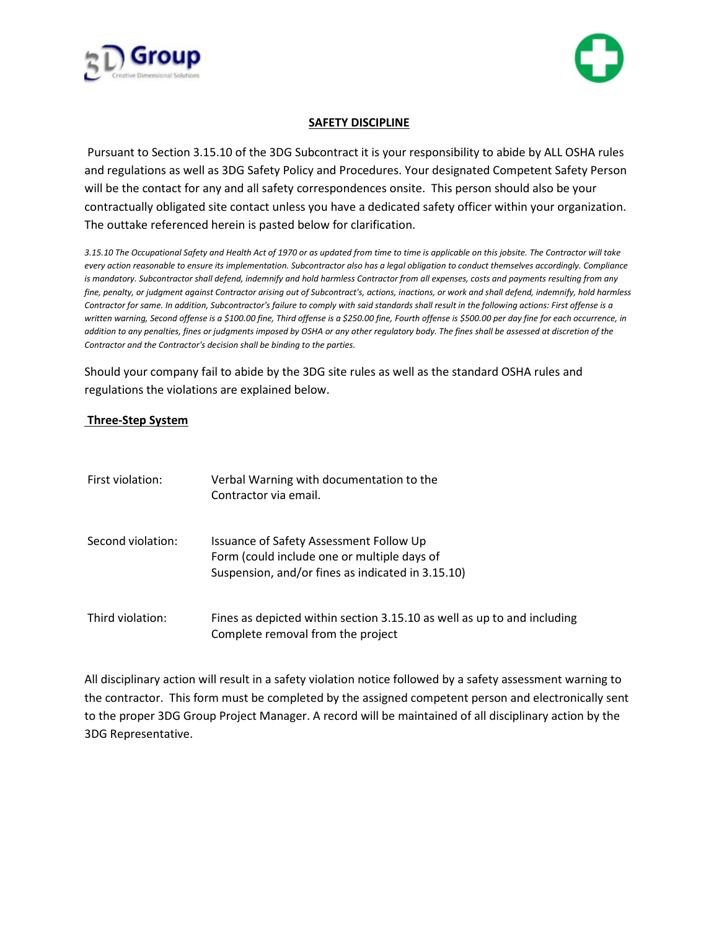



## **SAFETY DISCIPLINE**

 Pursuant to Section 3.15.10 of the 3DG Subcontract it is your responsibility to abide by ALL OSHA rules and regulations as well as 3DG Safety Policy and Procedures. Your designated Competent Safety Person will be the contact for any and all safety correspondences onsite. This person should also be your contractually obligated site contact unless you have a dedicated safety officer within your organization. The outtake referenced herein is pasted below for clarification.

*3.15.10 The Occupational Safety and Health Act of 1970 or as updated from time to time is applicable on this jobsite. The Contractor will take every action reasonable to ensure its implementation. Subcontractor also has a legal obligation to conduct themselves accordingly. Compliance*  is mandatory. Subcontractor shall defend, indemnify and hold harmless Contractor from all expenses, costs and payments resulting from any *fine, penalty, or judgment against Contractor arising out of Subcontract's, actions, inactions, or work and shall defend, indemnify, hold harmless Contractor for same. In addition, Subcontractor's failure to comply with said standards shall result in the following actions: First offense is a written warning, Second offense is a \$100.00 fine, Third offense is a \$250.00 fine, Fourth offense is \$500.00 per day fine for each occurrence, in addition to any penalties, fines or judgments imposed by OSHA or any other regulatory body. The fines shall be assessed at discretion of the Contractor and the Contractor's decision shall be binding to the parties.* 

Should your company fail to abide by the 3DG site rules as well as the standard OSHA rules and regulations the violations are explained below.

## **Three-Step System**

| First violation:  | Verbal Warning with documentation to the<br>Contractor via email.                                                                           |
|-------------------|---------------------------------------------------------------------------------------------------------------------------------------------|
| Second violation: | Issuance of Safety Assessment Follow Up<br>Form (could include one or multiple days of<br>Suspension, and/or fines as indicated in 3.15.10) |
| Third violation:  | Fines as depicted within section 3.15.10 as well as up to and including<br>Complete removal from the project                                |

All disciplinary action will result in a safety violation notice followed by a safety assessment warning to the contractor. This form must be completed by the assigned competent person and electronically sent to the proper 3DG Group Project Manager. A record will be maintained of all disciplinary action by the 3DG Representative.